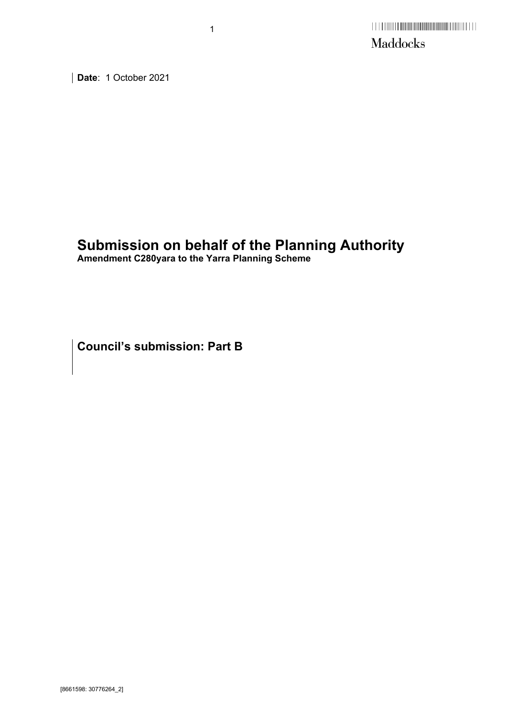**Date**: 1 October 2021

# **Submission on behalf of the Planning Authority**

**Amendment C280yara to the Yarra Planning Scheme** 

1

**Council's submission: Part B**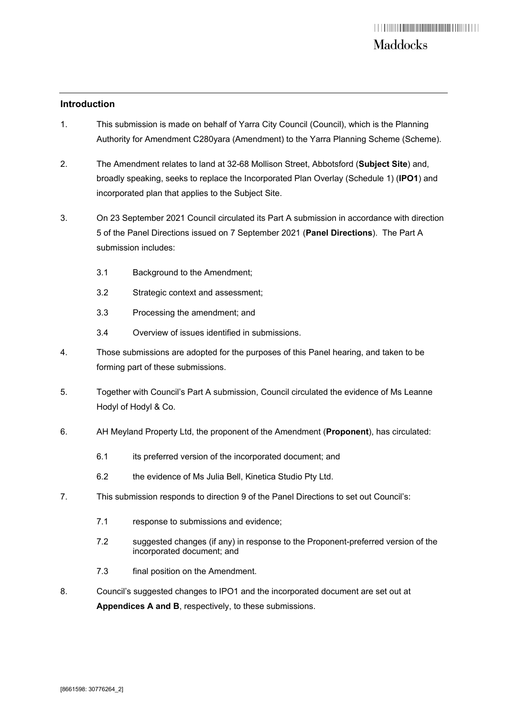### **Introduction**

- 1. This submission is made on behalf of Yarra City Council (Council), which is the Planning Authority for Amendment C280yara (Amendment) to the Yarra Planning Scheme (Scheme).
- 2. The Amendment relates to land at 32-68 Mollison Street, Abbotsford (**Subject Site**) and, broadly speaking, seeks to replace the Incorporated Plan Overlay (Schedule 1) (**IPO1**) and incorporated plan that applies to the Subject Site.
- 3. On 23 September 2021 Council circulated its Part A submission in accordance with direction 5 of the Panel Directions issued on 7 September 2021 (**Panel Directions**). The Part A submission includes:
	- 3.1 Background to the Amendment;
	- 3.2 Strategic context and assessment;
	- 3.3 Processing the amendment; and
	- 3.4 Overview of issues identified in submissions.
- 4. Those submissions are adopted for the purposes of this Panel hearing, and taken to be forming part of these submissions.
- 5. Together with Council's Part A submission, Council circulated the evidence of Ms Leanne Hodyl of Hodyl & Co.
- 6. AH Meyland Property Ltd, the proponent of the Amendment (**Proponent**), has circulated:
	- 6.1 its preferred version of the incorporated document; and
	- 6.2 the evidence of Ms Julia Bell, Kinetica Studio Pty Ltd.
- 7. This submission responds to direction 9 of the Panel Directions to set out Council's:
	- 7.1 response to submissions and evidence;
	- 7.2 suggested changes (if any) in response to the Proponent-preferred version of the incorporated document; and
	- 7.3 final position on the Amendment.
- 8. Council's suggested changes to IPO1 and the incorporated document are set out at **Appendices A and B**, respectively, to these submissions.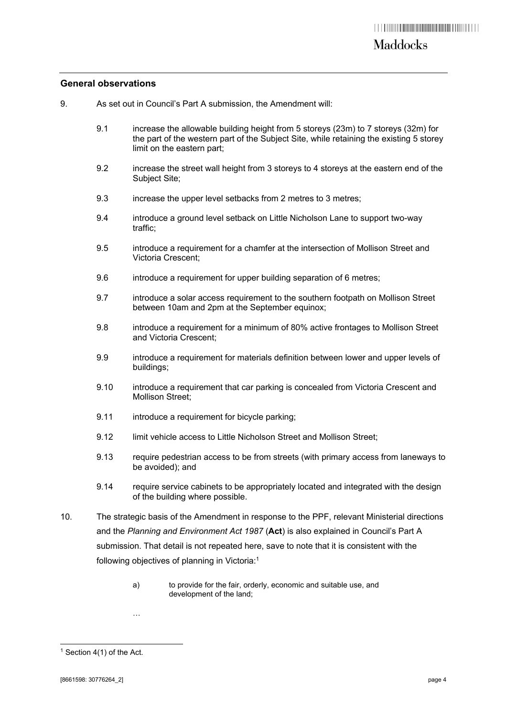### **General observations**

- 9. As set out in Council's Part A submission, the Amendment will:
	- 9.1 increase the allowable building height from 5 storeys (23m) to 7 storeys (32m) for the part of the western part of the Subject Site, while retaining the existing 5 storey limit on the eastern part;
	- 9.2 increase the street wall height from 3 storeys to 4 storeys at the eastern end of the Subject Site;
	- 9.3 increase the upper level setbacks from 2 metres to 3 metres;
	- 9.4 introduce a ground level setback on Little Nicholson Lane to support two-way traffic;
	- 9.5 introduce a requirement for a chamfer at the intersection of Mollison Street and Victoria Crescent;
	- 9.6 introduce a requirement for upper building separation of 6 metres;
	- 9.7 introduce a solar access requirement to the southern footpath on Mollison Street between 10am and 2pm at the September equinox;
	- 9.8 introduce a requirement for a minimum of 80% active frontages to Mollison Street and Victoria Crescent;
	- 9.9 introduce a requirement for materials definition between lower and upper levels of buildings;
	- 9.10 introduce a requirement that car parking is concealed from Victoria Crescent and Mollison Street;
	- 9.11 introduce a requirement for bicycle parking;
	- 9.12 limit vehicle access to Little Nicholson Street and Mollison Street:
	- 9.13 require pedestrian access to be from streets (with primary access from laneways to be avoided); and
	- 9.14 require service cabinets to be appropriately located and integrated with the design of the building where possible.
- 10. The strategic basis of the Amendment in response to the PPF, relevant Ministerial directions and the *Planning and Environment Act 1987* (**Act**) is also explained in Council's Part A submission. That detail is not repeated here, save to note that it is consistent with the following objectives of planning in Victoria:1
	- a) to provide for the fair, orderly, economic and suitable use, and development of the land;

…

 $1$  Section 4(1) of the Act.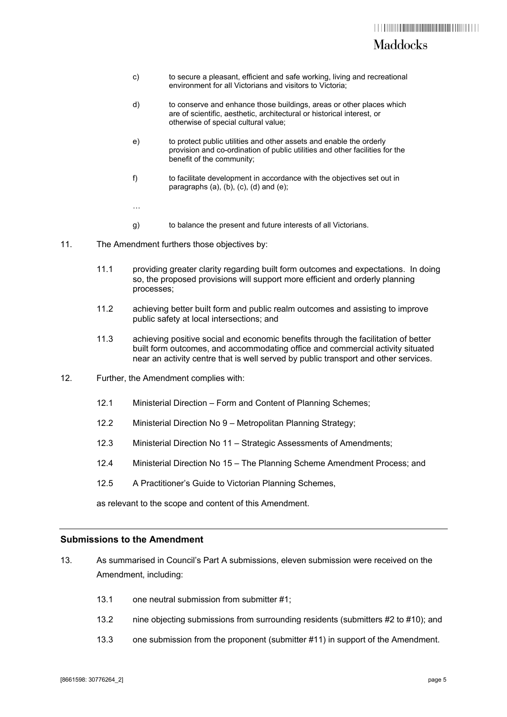## Maddocks

- c) to secure a pleasant, efficient and safe working, living and recreational environment for all Victorians and visitors to Victoria;
- d) to conserve and enhance those buildings, areas or other places which are of scientific, aesthetic, architectural or historical interest, or otherwise of special cultural value;
- e) to protect public utilities and other assets and enable the orderly provision and co-ordination of public utilities and other facilities for the benefit of the community;
- f) to facilitate development in accordance with the objectives set out in paragraphs (a), (b), (c), (d) and (e);
- g) to balance the present and future interests of all Victorians.
- 11. The Amendment furthers those objectives by:

…

- 11.1 providing greater clarity regarding built form outcomes and expectations. In doing so, the proposed provisions will support more efficient and orderly planning processes;
- 11.2 achieving better built form and public realm outcomes and assisting to improve public safety at local intersections; and
- 11.3 achieving positive social and economic benefits through the facilitation of better built form outcomes, and accommodating office and commercial activity situated near an activity centre that is well served by public transport and other services.
- 12. Further, the Amendment complies with:
	- 12.1 Ministerial Direction Form and Content of Planning Schemes;
	- 12.2 Ministerial Direction No 9 Metropolitan Planning Strategy;
	- 12.3 Ministerial Direction No 11 Strategic Assessments of Amendments;
	- 12.4 Ministerial Direction No 15 The Planning Scheme Amendment Process; and
	- 12.5 A Practitioner's Guide to Victorian Planning Schemes,

as relevant to the scope and content of this Amendment.

### **Submissions to the Amendment**

- 13. As summarised in Council's Part A submissions, eleven submission were received on the Amendment, including:
	- 13.1 one neutral submission from submitter #1;
	- 13.2 nine objecting submissions from surrounding residents (submitters #2 to #10); and
	- 13.3 one submission from the proponent (submitter #11) in support of the Amendment.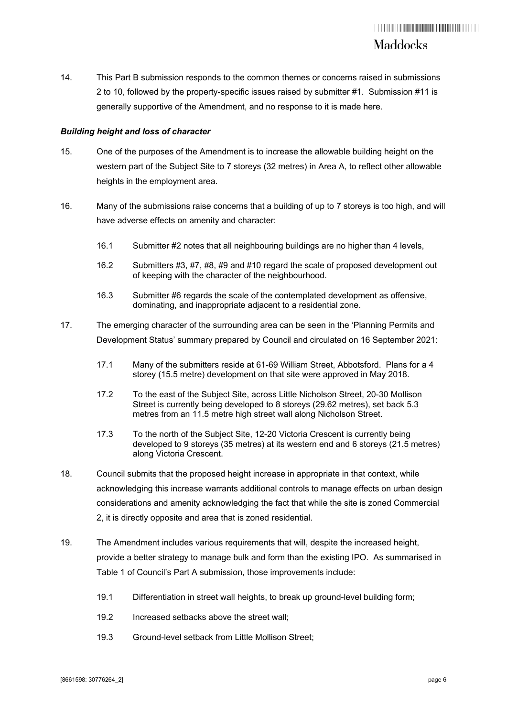14. This Part B submission responds to the common themes or concerns raised in submissions 2 to 10, followed by the property-specific issues raised by submitter #1. Submission #11 is generally supportive of the Amendment, and no response to it is made here.

### *Building height and loss of character*

- 15. One of the purposes of the Amendment is to increase the allowable building height on the western part of the Subject Site to 7 storeys (32 metres) in Area A, to reflect other allowable heights in the employment area.
- 16. Many of the submissions raise concerns that a building of up to 7 storeys is too high, and will have adverse effects on amenity and character:
	- 16.1 Submitter #2 notes that all neighbouring buildings are no higher than 4 levels,
	- 16.2 Submitters #3, #7, #8, #9 and #10 regard the scale of proposed development out of keeping with the character of the neighbourhood.
	- 16.3 Submitter #6 regards the scale of the contemplated development as offensive, dominating, and inappropriate adjacent to a residential zone.
- 17. The emerging character of the surrounding area can be seen in the 'Planning Permits and Development Status' summary prepared by Council and circulated on 16 September 2021:
	- 17.1 Many of the submitters reside at 61-69 William Street, Abbotsford. Plans for a 4 storey (15.5 metre) development on that site were approved in May 2018.
	- 17.2 To the east of the Subject Site, across Little Nicholson Street, 20-30 Mollison Street is currently being developed to 8 storeys (29.62 metres), set back 5.3 metres from an 11.5 metre high street wall along Nicholson Street.
	- 17.3 To the north of the Subject Site, 12-20 Victoria Crescent is currently being developed to 9 storeys (35 metres) at its western end and 6 storeys (21.5 metres) along Victoria Crescent.
- 18. Council submits that the proposed height increase in appropriate in that context, while acknowledging this increase warrants additional controls to manage effects on urban design considerations and amenity acknowledging the fact that while the site is zoned Commercial 2, it is directly opposite and area that is zoned residential.
- 19. The Amendment includes various requirements that will, despite the increased height, provide a better strategy to manage bulk and form than the existing IPO. As summarised in Table 1 of Council's Part A submission, those improvements include:
	- 19.1 Differentiation in street wall heights, to break up ground-level building form;
	- 19.2 Increased setbacks above the street wall;
	- 19.3 Ground-level setback from Little Mollison Street;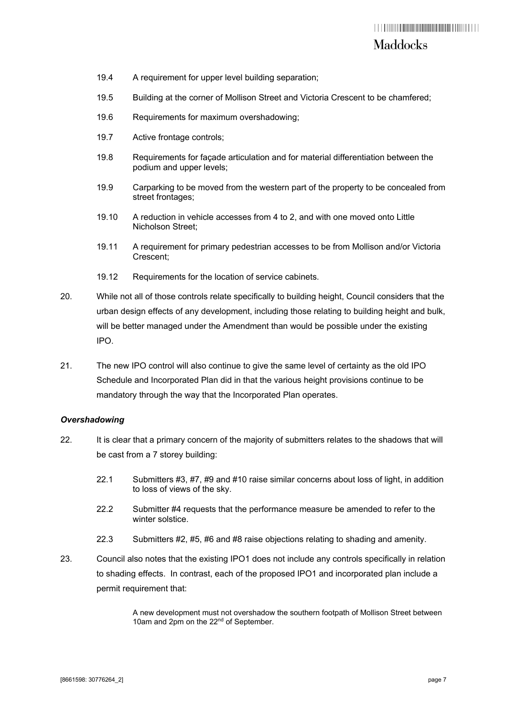- 19.4 A requirement for upper level building separation;
- 19.5 Building at the corner of Mollison Street and Victoria Crescent to be chamfered;
- 19.6 Requirements for maximum overshadowing;
- 19.7 Active frontage controls;
- 19.8 Requirements for façade articulation and for material differentiation between the podium and upper levels;
- 19.9 Carparking to be moved from the western part of the property to be concealed from street frontages;
- 19.10 A reduction in vehicle accesses from 4 to 2, and with one moved onto Little Nicholson Street;
- 19.11 A requirement for primary pedestrian accesses to be from Mollison and/or Victoria Crescent;
- 19.12 Requirements for the location of service cabinets.
- 20. While not all of those controls relate specifically to building height, Council considers that the urban design effects of any development, including those relating to building height and bulk, will be better managed under the Amendment than would be possible under the existing IPO.
- 21. The new IPO control will also continue to give the same level of certainty as the old IPO Schedule and Incorporated Plan did in that the various height provisions continue to be mandatory through the way that the Incorporated Plan operates.

#### *Overshadowing*

- 22. It is clear that a primary concern of the majority of submitters relates to the shadows that will be cast from a 7 storey building:
	- 22.1 Submitters #3, #7, #9 and #10 raise similar concerns about loss of light, in addition to loss of views of the sky.
	- 22.2 Submitter #4 requests that the performance measure be amended to refer to the winter solstice
	- 22.3 Submitters #2, #5, #6 and #8 raise objections relating to shading and amenity.
- 23. Council also notes that the existing IPO1 does not include any controls specifically in relation to shading effects. In contrast, each of the proposed IPO1 and incorporated plan include a permit requirement that:

A new development must not overshadow the southern footpath of Mollison Street between 10am and 2pm on the 22<sup>nd</sup> of September.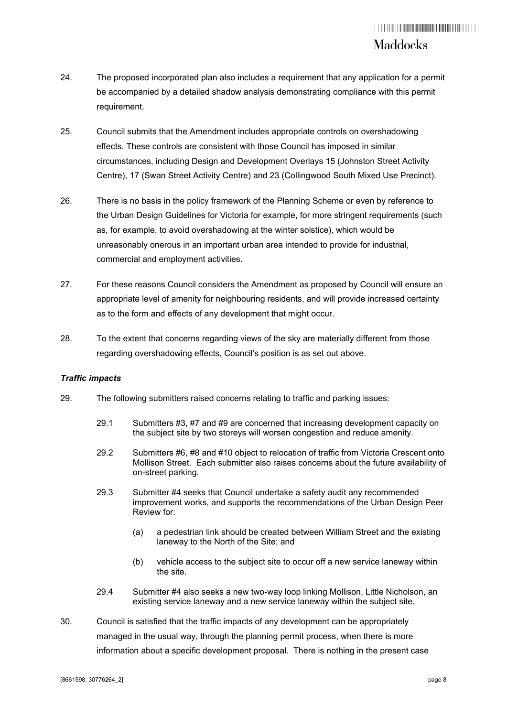- 24. The proposed incorporated plan also includes a requirement that any application for a permit be accompanied by a detailed shadow analysis demonstrating compliance with this permit requirement.
- 25. Council submits that the Amendment includes appropriate controls on overshadowing effects. These controls are consistent with those Council has imposed in similar circumstances, including Design and Development Overlays 15 (Johnston Street Activity Centre), 17 (Swan Street Activity Centre) and 23 (Collingwood South Mixed Use Precinct).
- 26. There is no basis in the policy framework of the Planning Scheme or even by reference to the Urban Design Guidelines for Victoria for example, for more stringent requirements (such as, for example, to avoid overshadowing at the winter solstice), which would be unreasonably onerous in an important urban area intended to provide for industrial, commercial and employment activities.
- 27. For these reasons Council considers the Amendment as proposed by Council will ensure an appropriate level of amenity for neighbouring residents, and will provide increased certainty as to the form and effects of any development that might occur.
- 28. To the extent that concerns regarding views of the sky are materially different from those regarding overshadowing effects, Council's position is as set out above.

### *Traffic impacts*

- 29. The following submitters raised concerns relating to traffic and parking issues:
	- 29.1 Submitters #3, #7 and #9 are concerned that increasing development capacity on the subject site by two storeys will worsen congestion and reduce amenity.
	- 29.2 Submitters #6, #8 and #10 object to relocation of traffic from Victoria Crescent onto Mollison Street. Each submitter also raises concerns about the future availability of on-street parking.
	- 29.3 Submitter #4 seeks that Council undertake a safety audit any recommended improvement works, and supports the recommendations of the Urban Design Peer Review for:
		- (a) a pedestrian link should be created between William Street and the existing laneway to the North of the Site; and
		- (b) vehicle access to the subject site to occur off a new service laneway within the site.
	- 29.4 Submitter #4 also seeks a new two-way loop linking Mollison, Little Nicholson, an existing service laneway and a new service laneway within the subject site.
- 30. Council is satisfied that the traffic impacts of any development can be appropriately managed in the usual way, through the planning permit process, when there is more information about a specific development proposal. There is nothing in the present case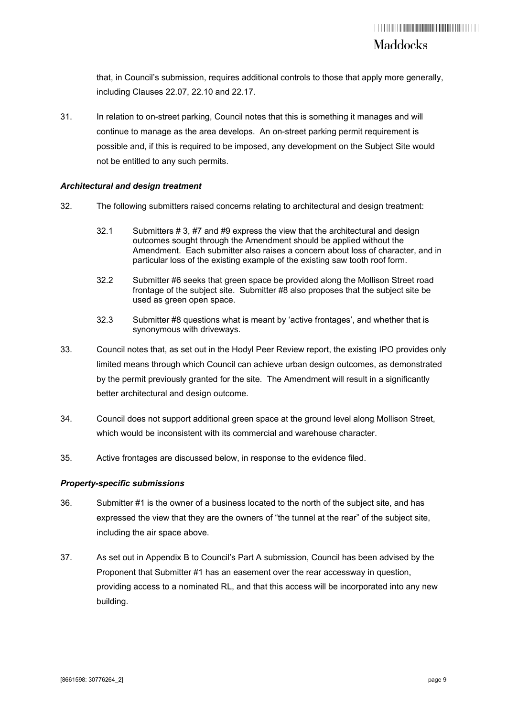that, in Council's submission, requires additional controls to those that apply more generally, including Clauses 22.07, 22.10 and 22.17.

31. In relation to on-street parking, Council notes that this is something it manages and will continue to manage as the area develops. An on-street parking permit requirement is possible and, if this is required to be imposed, any development on the Subject Site would not be entitled to any such permits.

### *Architectural and design treatment*

- 32. The following submitters raised concerns relating to architectural and design treatment:
	- 32.1 Submitters # 3, #7 and #9 express the view that the architectural and design outcomes sought through the Amendment should be applied without the Amendment. Each submitter also raises a concern about loss of character, and in particular loss of the existing example of the existing saw tooth roof form.
	- 32.2 Submitter #6 seeks that green space be provided along the Mollison Street road frontage of the subject site. Submitter #8 also proposes that the subject site be used as green open space.
	- 32.3 Submitter #8 questions what is meant by 'active frontages', and whether that is synonymous with driveways.
- 33. Council notes that, as set out in the Hodyl Peer Review report, the existing IPO provides only limited means through which Council can achieve urban design outcomes, as demonstrated by the permit previously granted for the site. The Amendment will result in a significantly better architectural and design outcome.
- 34. Council does not support additional green space at the ground level along Mollison Street, which would be inconsistent with its commercial and warehouse character.
- 35. Active frontages are discussed below, in response to the evidence filed.

#### *Property-specific submissions*

- 36. Submitter #1 is the owner of a business located to the north of the subject site, and has expressed the view that they are the owners of "the tunnel at the rear" of the subject site, including the air space above.
- 37. As set out in Appendix B to Council's Part A submission, Council has been advised by the Proponent that Submitter #1 has an easement over the rear accessway in question, providing access to a nominated RL, and that this access will be incorporated into any new building.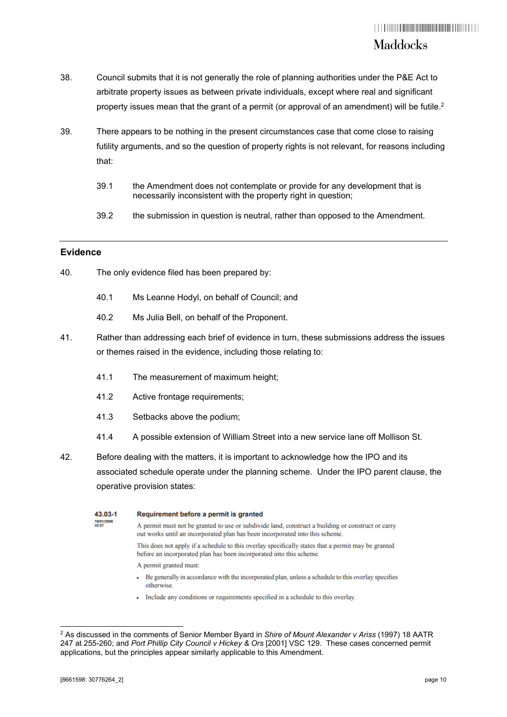- 38. Council submits that it is not generally the role of planning authorities under the P&E Act to arbitrate property issues as between private individuals, except where real and significant property issues mean that the grant of a permit (or approval of an amendment) will be futile.<sup>2</sup>
- 39. There appears to be nothing in the present circumstances case that come close to raising futility arguments, and so the question of property rights is not relevant, for reasons including that:
	- 39.1 the Amendment does not contemplate or provide for any development that is necessarily inconsistent with the property right in question;
	- 39.2 the submission in question is neutral, rather than opposed to the Amendment.

### **Evidence**

- 40. The only evidence filed has been prepared by:
	- 40.1 Ms Leanne Hodyl, on behalf of Council; and
	- 40.2 Ms Julia Bell, on behalf of the Proponent.
- 41. Rather than addressing each brief of evidence in turn, these submissions address the issues or themes raised in the evidence, including those relating to:
	- 41.1 The measurement of maximum height;
	- 41.2 Active frontage requirements;
	- 41.3 Setbacks above the podium;
	- 41.4 A possible extension of William Street into a new service lane off Mollison St.
- 42. Before dealing with the matters, it is important to acknowledge how the IPO and its associated schedule operate under the planning scheme. Under the IPO parent clause, the operative provision states:

| 43.03-1                   | Requirement before a permit is granted                                                                                                                                                                                            |
|---------------------------|-----------------------------------------------------------------------------------------------------------------------------------------------------------------------------------------------------------------------------------|
| 19/01/2006<br><b>VC37</b> | A permit must not be granted to use or subdivide land, construct a building or construct or carry<br>out works until an incorporated plan has been incorporated into this scheme.                                                 |
|                           | This does not apply if a schedule to this overlay specifically states that a permit may be granted<br>before an incorporated plan has been incorporated into this scheme.                                                         |
|                           | A permit granted must:                                                                                                                                                                                                            |
|                           | Be generally in accordance with the incorporated plan, unless a schedule to this overlay specifies<br>otherwise.                                                                                                                  |
|                           | The decision is a small discussed as a set of the second control $\theta$ of the second second distribution of the second second second second second second second second second second second second second second second secon |

Include any conditions or requirements specified in a schedule to this overlay.

<sup>2</sup> As discussed in the comments of Senior Member Byard in *Shire of Mount Alexander v Ariss* (1997) 18 AATR 247 at 255-260; and *Port Phillip City Council v Hickey & Ors* [2001] VSC 129. These cases concerned permit applications, but the principles appear similarly applicable to this Amendment.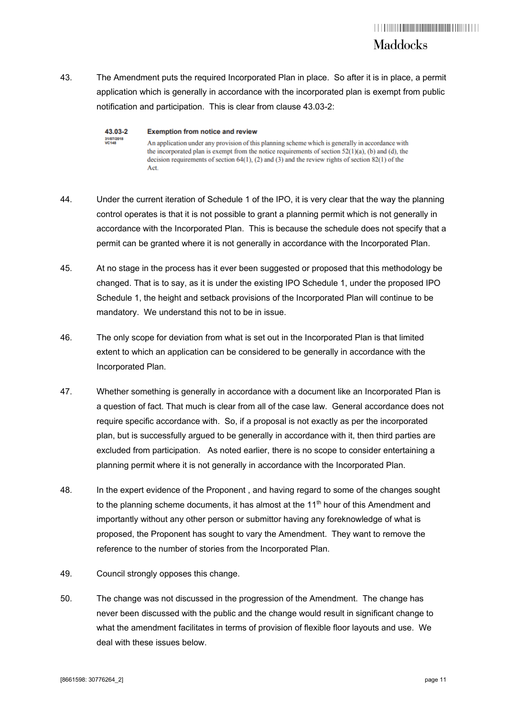43. The Amendment puts the required Incorporated Plan in place. So after it is in place, a permit application which is generally in accordance with the incorporated plan is exempt from public notification and participation. This is clear from clause 43.03-2:

| 43.03-2                    | <b>Exemption from notice and review</b>                                                                                                                                                                                                                                                                                   |
|----------------------------|---------------------------------------------------------------------------------------------------------------------------------------------------------------------------------------------------------------------------------------------------------------------------------------------------------------------------|
| 31/07/2018<br><b>VC148</b> | An application under any provision of this planning scheme which is generally in accordance with<br>the incorporated plan is exempt from the notice requirements of section $52(1)(a)$ , (b) and (d), the<br>decision requirements of section $64(1)$ , (2) and (3) and the review rights of section 82(1) of the<br>Act. |

- 44. Under the current iteration of Schedule 1 of the IPO, it is very clear that the way the planning control operates is that it is not possible to grant a planning permit which is not generally in accordance with the Incorporated Plan. This is because the schedule does not specify that a permit can be granted where it is not generally in accordance with the Incorporated Plan.
- 45. At no stage in the process has it ever been suggested or proposed that this methodology be changed. That is to say, as it is under the existing IPO Schedule 1, under the proposed IPO Schedule 1, the height and setback provisions of the Incorporated Plan will continue to be mandatory. We understand this not to be in issue.
- 46. The only scope for deviation from what is set out in the Incorporated Plan is that limited extent to which an application can be considered to be generally in accordance with the Incorporated Plan.
- 47. Whether something is generally in accordance with a document like an Incorporated Plan is a question of fact. That much is clear from all of the case law. General accordance does not require specific accordance with. So, if a proposal is not exactly as per the incorporated plan, but is successfully argued to be generally in accordance with it, then third parties are excluded from participation. As noted earlier, there is no scope to consider entertaining a planning permit where it is not generally in accordance with the Incorporated Plan.
- 48. In the expert evidence of the Proponent , and having regard to some of the changes sought to the planning scheme documents, it has almost at the  $11<sup>th</sup>$  hour of this Amendment and importantly without any other person or submittor having any foreknowledge of what is proposed, the Proponent has sought to vary the Amendment. They want to remove the reference to the number of stories from the Incorporated Plan.
- 49. Council strongly opposes this change.
- 50. The change was not discussed in the progression of the Amendment. The change has never been discussed with the public and the change would result in significant change to what the amendment facilitates in terms of provision of flexible floor layouts and use. We deal with these issues below.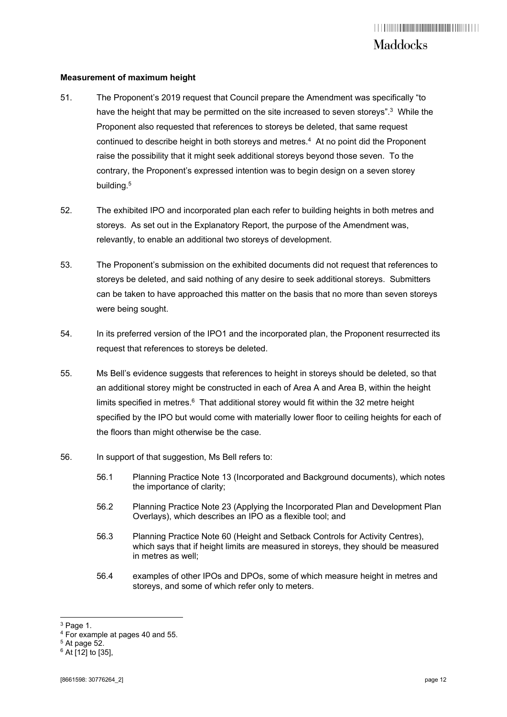### **Measurement of maximum height**

- 51. The Proponent's 2019 request that Council prepare the Amendment was specifically "to have the height that may be permitted on the site increased to seven storeys".<sup>3</sup> While the Proponent also requested that references to storeys be deleted, that same request continued to describe height in both storeys and metres.<sup>4</sup> At no point did the Proponent raise the possibility that it might seek additional storeys beyond those seven. To the contrary, the Proponent's expressed intention was to begin design on a seven storey building.<sup>5</sup>
- 52. The exhibited IPO and incorporated plan each refer to building heights in both metres and storeys. As set out in the Explanatory Report, the purpose of the Amendment was, relevantly, to enable an additional two storeys of development.
- 53. The Proponent's submission on the exhibited documents did not request that references to storeys be deleted, and said nothing of any desire to seek additional storeys. Submitters can be taken to have approached this matter on the basis that no more than seven storeys were being sought.
- 54. In its preferred version of the IPO1 and the incorporated plan, the Proponent resurrected its request that references to storeys be deleted.
- 55. Ms Bell's evidence suggests that references to height in storeys should be deleted, so that an additional storey might be constructed in each of Area A and Area B, within the height limits specified in metres. $6$  That additional storey would fit within the 32 metre height specified by the IPO but would come with materially lower floor to ceiling heights for each of the floors than might otherwise be the case.
- 56. In support of that suggestion, Ms Bell refers to:
	- 56.1 Planning Practice Note 13 (Incorporated and Background documents), which notes the importance of clarity;
	- 56.2 Planning Practice Note 23 (Applying the Incorporated Plan and Development Plan Overlays), which describes an IPO as a flexible tool; and
	- 56.3 Planning Practice Note 60 (Height and Setback Controls for Activity Centres), which says that if height limits are measured in storeys, they should be measured in metres as well;
	- 56.4 examples of other IPOs and DPOs, some of which measure height in metres and storeys, and some of which refer only to meters.

 $3$  Page 1.

<sup>4</sup> For example at pages 40 and 55.

 $5$  At page  $52$ .

 $6$  At [12] to [35],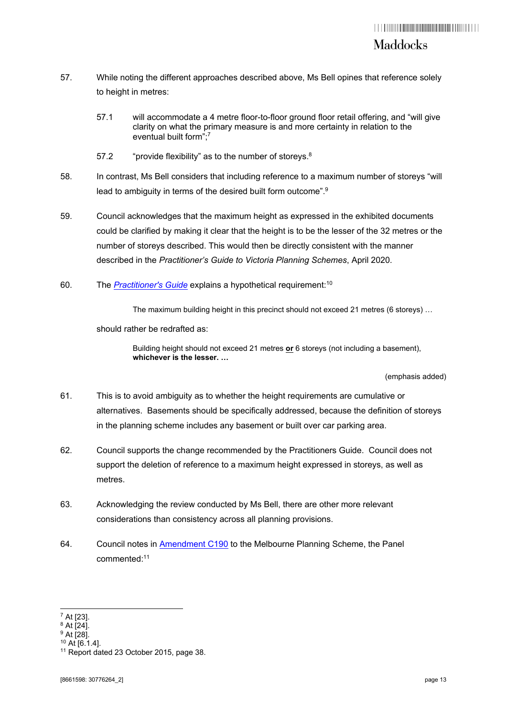- 57. While noting the different approaches described above, Ms Bell opines that reference solely to height in metres:
	- 57.1 will accommodate a 4 metre floor-to-floor ground floor retail offering, and "will give clarity on what the primary measure is and more certainty in relation to the eventual built form";7
	- 57.2 "provide flexibility" as to the number of storeys.<sup>8</sup>
- 58. In contrast, Ms Bell considers that including reference to a maximum number of storeys "will lead to ambiguity in terms of the desired built form outcome".<sup>9</sup>
- 59. Council acknowledges that the maximum height as expressed in the exhibited documents could be clarified by making it clear that the height is to be the lesser of the 32 metres or the number of storeys described. This would then be directly consistent with the manner described in the *Practitioner's Guide to Victoria Planning Schemes*, April 2020.
- 60. The *Practitioner's Guide* explains a hypothetical requirement:10

The maximum building height in this precinct should not exceed 21 metres (6 storeys) …

should rather be redrafted as:

Building height should not exceed 21 metres **or** 6 storeys (not including a basement), **whichever is the lesser. …**

(emphasis added)

- 61. This is to avoid ambiguity as to whether the height requirements are cumulative or alternatives. Basements should be specifically addressed, because the definition of storeys in the planning scheme includes any basement or built over car parking area.
- 62. Council supports the change recommended by the Practitioners Guide. Council does not support the deletion of reference to a maximum height expressed in storeys, as well as metres.
- 63. Acknowledging the review conducted by Ms Bell, there are other more relevant considerations than consistency across all planning provisions.
- 64. Council notes in Amendment C190 to the Melbourne Planning Scheme, the Panel commented:11

 $^7$  At [23].

 $8$  At [24].

<sup>9</sup> At [28].

<sup>10</sup> At [6.1.4].

<sup>&</sup>lt;sup>11</sup> Report dated 23 October 2015, page 38.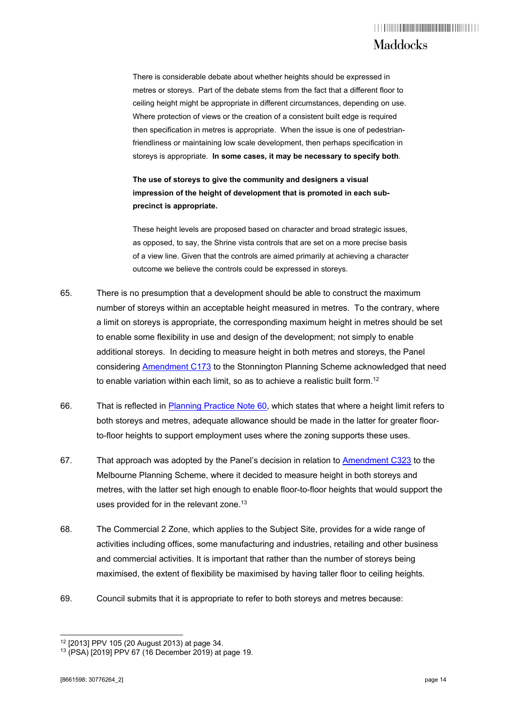There is considerable debate about whether heights should be expressed in metres or storeys. Part of the debate stems from the fact that a different floor to ceiling height might be appropriate in different circumstances, depending on use. Where protection of views or the creation of a consistent built edge is required then specification in metres is appropriate. When the issue is one of pedestrianfriendliness or maintaining low scale development, then perhaps specification in storeys is appropriate. **In some cases, it may be necessary to specify both**.

### **The use of storeys to give the community and designers a visual impression of the height of development that is promoted in each subprecinct is appropriate.**

These height levels are proposed based on character and broad strategic issues, as opposed, to say, the Shrine vista controls that are set on a more precise basis of a view line. Given that the controls are aimed primarily at achieving a character outcome we believe the controls could be expressed in storeys.

- 65. There is no presumption that a development should be able to construct the maximum number of storeys within an acceptable height measured in metres. To the contrary, where a limit on storeys is appropriate, the corresponding maximum height in metres should be set to enable some flexibility in use and design of the development; not simply to enable additional storeys. In deciding to measure height in both metres and storeys, the Panel considering Amendment C173 to the Stonnington Planning Scheme acknowledged that need to enable variation within each limit, so as to achieve a realistic built form.<sup>12</sup>
- 66. That is reflected in Planning Practice Note 60, which states that where a height limit refers to both storeys and metres, adequate allowance should be made in the latter for greater floorto-floor heights to support employment uses where the zoning supports these uses.
- 67. That approach was adopted by the Panel's decision in relation to Amendment C323 to the Melbourne Planning Scheme, where it decided to measure height in both storeys and metres, with the latter set high enough to enable floor-to-floor heights that would support the uses provided for in the relevant zone.<sup>13</sup>
- 68. The Commercial 2 Zone, which applies to the Subject Site, provides for a wide range of activities including offices, some manufacturing and industries, retailing and other business and commercial activities. It is important that rather than the number of storeys being maximised, the extent of flexibility be maximised by having taller floor to ceiling heights.
- 69. Council submits that it is appropriate to refer to both storeys and metres because:

<sup>12 [2013]</sup> PPV 105 (20 August 2013) at page 34.

<sup>13 (</sup>PSA) [2019] PPV 67 (16 December 2019) at page 19.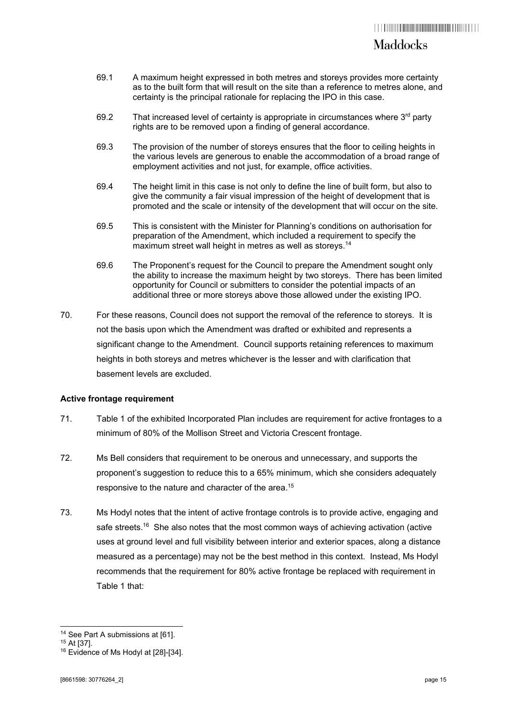### Maddocks

- 69.1 A maximum height expressed in both metres and storeys provides more certainty as to the built form that will result on the site than a reference to metres alone, and certainty is the principal rationale for replacing the IPO in this case.
- 69.2 That increased level of certainty is appropriate in circumstances where  $3<sup>rd</sup>$  party rights are to be removed upon a finding of general accordance.
- 69.3 The provision of the number of storeys ensures that the floor to ceiling heights in the various levels are generous to enable the accommodation of a broad range of employment activities and not just, for example, office activities.
- 69.4 The height limit in this case is not only to define the line of built form, but also to give the community a fair visual impression of the height of development that is promoted and the scale or intensity of the development that will occur on the site.
- 69.5 This is consistent with the Minister for Planning's conditions on authorisation for preparation of the Amendment, which included a requirement to specify the maximum street wall height in metres as well as storeys.14
- 69.6 The Proponent's request for the Council to prepare the Amendment sought only the ability to increase the maximum height by two storeys. There has been limited opportunity for Council or submitters to consider the potential impacts of an additional three or more storeys above those allowed under the existing IPO.
- 70. For these reasons, Council does not support the removal of the reference to storeys. It is not the basis upon which the Amendment was drafted or exhibited and represents a significant change to the Amendment. Council supports retaining references to maximum heights in both storeys and metres whichever is the lesser and with clarification that basement levels are excluded.

### **Active frontage requirement**

- 71. Table 1 of the exhibited Incorporated Plan includes are requirement for active frontages to a minimum of 80% of the Mollison Street and Victoria Crescent frontage.
- 72. Ms Bell considers that requirement to be onerous and unnecessary, and supports the proponent's suggestion to reduce this to a 65% minimum, which she considers adequately responsive to the nature and character of the area.<sup>15</sup>
- 73. Ms Hodyl notes that the intent of active frontage controls is to provide active, engaging and safe streets.<sup>16</sup> She also notes that the most common ways of achieving activation (active uses at ground level and full visibility between interior and exterior spaces, along a distance measured as a percentage) may not be the best method in this context. Instead, Ms Hodyl recommends that the requirement for 80% active frontage be replaced with requirement in Table 1 that:

<sup>&</sup>lt;sup>14</sup> See Part A submissions at [61].

<sup>15</sup> At [37].

<sup>&</sup>lt;sup>16</sup> Evidence of Ms Hodyl at [28]-[34].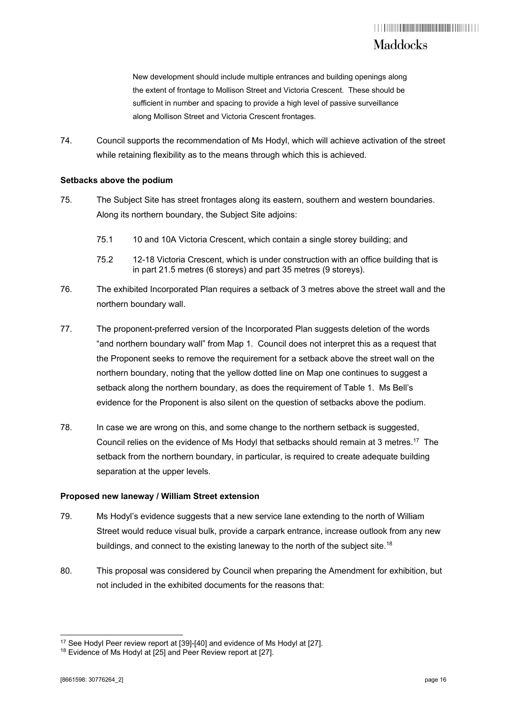New development should include multiple entrances and building openings along the extent of frontage to Mollison Street and Victoria Crescent. These should be sufficient in number and spacing to provide a high level of passive surveillance along Mollison Street and Victoria Crescent frontages.

74. Council supports the recommendation of Ms Hodyl, which will achieve activation of the street while retaining flexibility as to the means through which this is achieved.

### **Setbacks above the podium**

- 75. The Subject Site has street frontages along its eastern, southern and western boundaries. Along its northern boundary, the Subject Site adjoins:
	- 75.1 10 and 10A Victoria Crescent, which contain a single storey building; and
	- 75.2 12-18 Victoria Crescent, which is under construction with an office building that is in part 21.5 metres (6 storeys) and part 35 metres (9 storeys).
- 76. The exhibited Incorporated Plan requires a setback of 3 metres above the street wall and the northern boundary wall.
- 77. The proponent-preferred version of the Incorporated Plan suggests deletion of the words "and northern boundary wall" from Map 1. Council does not interpret this as a request that the Proponent seeks to remove the requirement for a setback above the street wall on the northern boundary, noting that the yellow dotted line on Map one continues to suggest a setback along the northern boundary, as does the requirement of Table 1. Ms Bell's evidence for the Proponent is also silent on the question of setbacks above the podium.
- 78. In case we are wrong on this, and some change to the northern setback is suggested, Council relies on the evidence of Ms Hodyl that setbacks should remain at 3 metres.17 The setback from the northern boundary, in particular, is required to create adequate building separation at the upper levels.

### **Proposed new laneway / William Street extension**

- 79. Ms Hodyl's evidence suggests that a new service lane extending to the north of William Street would reduce visual bulk, provide a carpark entrance, increase outlook from any new buildings, and connect to the existing laneway to the north of the subject site.<sup>18</sup>
- 80. This proposal was considered by Council when preparing the Amendment for exhibition, but not included in the exhibited documents for the reasons that:

<sup>&</sup>lt;sup>17</sup> See Hodyl Peer review report at [39]-[40] and evidence of Ms Hodyl at [27].<br><sup>18</sup> Evidence of Ms Hodyl at [25] and Peer Review report at [27].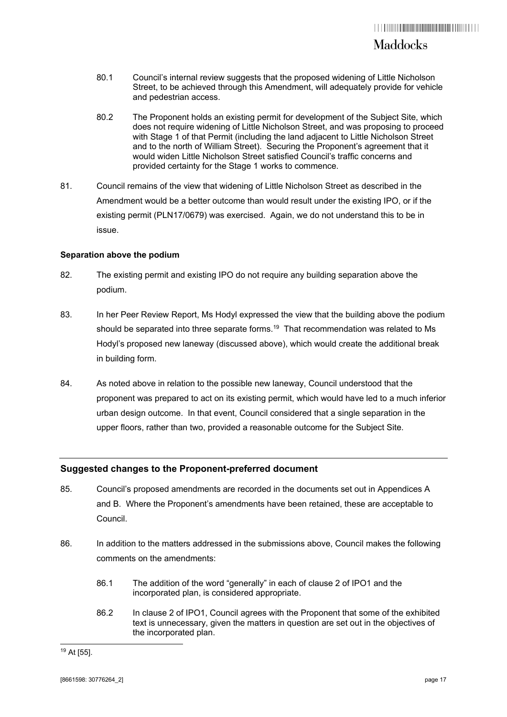- 80.1 Council's internal review suggests that the proposed widening of Little Nicholson Street, to be achieved through this Amendment, will adequately provide for vehicle and pedestrian access.
- 80.2 The Proponent holds an existing permit for development of the Subject Site, which does not require widening of Little Nicholson Street, and was proposing to proceed with Stage 1 of that Permit (including the land adjacent to Little Nicholson Street and to the north of William Street). Securing the Proponent's agreement that it would widen Little Nicholson Street satisfied Council's traffic concerns and provided certainty for the Stage 1 works to commence.
- 81. Council remains of the view that widening of Little Nicholson Street as described in the Amendment would be a better outcome than would result under the existing IPO, or if the existing permit (PLN17/0679) was exercised. Again, we do not understand this to be in issue.

#### **Separation above the podium**

- 82. The existing permit and existing IPO do not require any building separation above the podium.
- 83. In her Peer Review Report, Ms Hodyl expressed the view that the building above the podium should be separated into three separate forms.<sup>19</sup> That recommendation was related to Ms Hodyl's proposed new laneway (discussed above), which would create the additional break in building form.
- 84. As noted above in relation to the possible new laneway, Council understood that the proponent was prepared to act on its existing permit, which would have led to a much inferior urban design outcome. In that event, Council considered that a single separation in the upper floors, rather than two, provided a reasonable outcome for the Subject Site.

### **Suggested changes to the Proponent-preferred document**

- 85. Council's proposed amendments are recorded in the documents set out in Appendices A and B. Where the Proponent's amendments have been retained, these are acceptable to Council.
- 86. In addition to the matters addressed in the submissions above, Council makes the following comments on the amendments:
	- 86.1 The addition of the word "generally" in each of clause 2 of IPO1 and the incorporated plan, is considered appropriate.
	- 86.2 In clause 2 of IPO1, Council agrees with the Proponent that some of the exhibited text is unnecessary, given the matters in question are set out in the objectives of the incorporated plan.

<sup>19</sup> At [55].